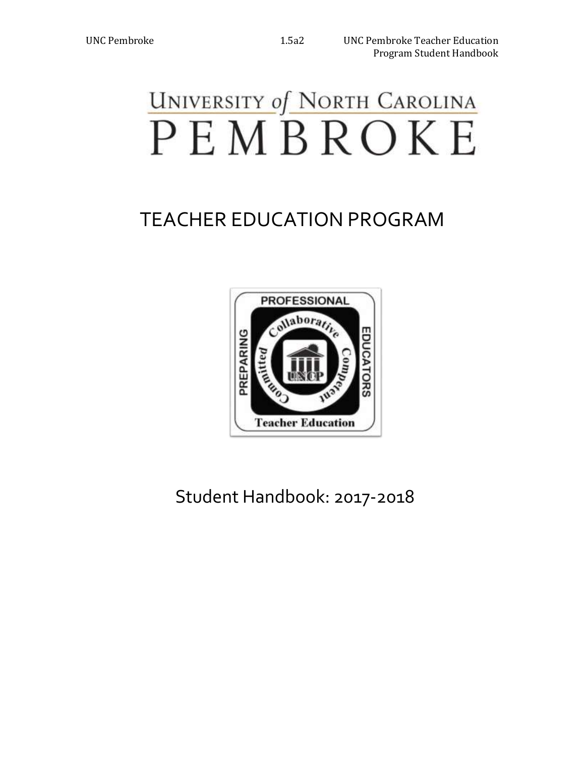# **UNIVERSITY of NORTH CAROLINA** PEMBROKE

## TEACHER EDUCATION PROGRAM



Student Handbook: 2017-2018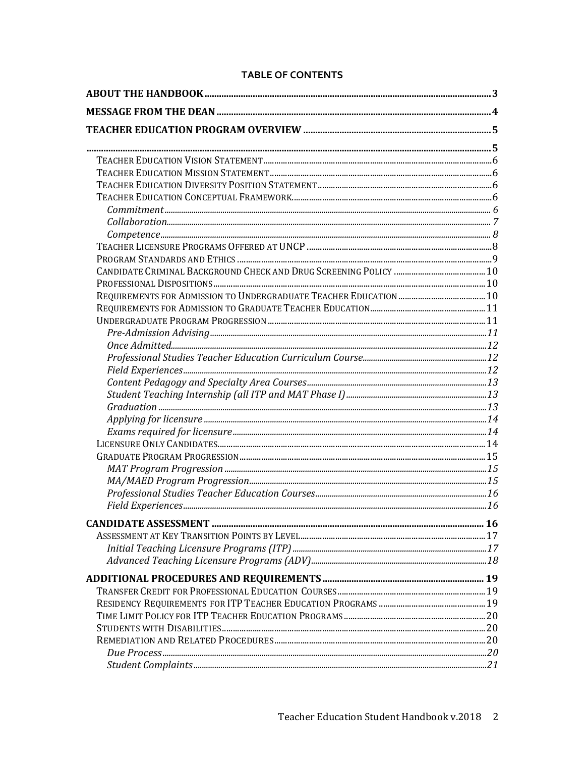#### **TABLE OF CONTENTS**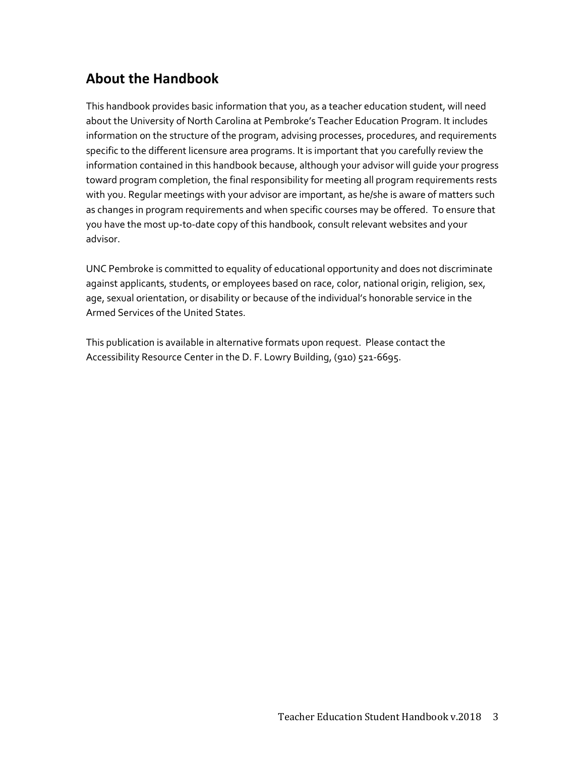## **About the Handbook**

This handbook provides basic information that you, as a teacher education student, will need about the University of North Carolina at Pembroke's Teacher Education Program. It includes information on the structure of the program, advising processes, procedures, and requirements specific to the different licensure area programs. It is important that you carefully review the information contained in this handbook because, although your advisor will guide your progress toward program completion, the final responsibility for meeting all program requirements rests with you. Regular meetings with your advisor are important, as he/she is aware of matters such as changes in program requirements and when specific courses may be offered. To ensure that you have the most up-to-date copy of this handbook, consult relevant websites and your advisor.

UNC Pembroke is committed to equality of educational opportunity and does not discriminate against applicants, students, or employees based on race, color, national origin, religion, sex, age, sexual orientation, or disability or because of the individual's honorable service in the Armed Services of the United States.

This publication is available in alternative formats upon request. Please contact the Accessibility Resource Center in the D. F. Lowry Building, (910) 521-6695.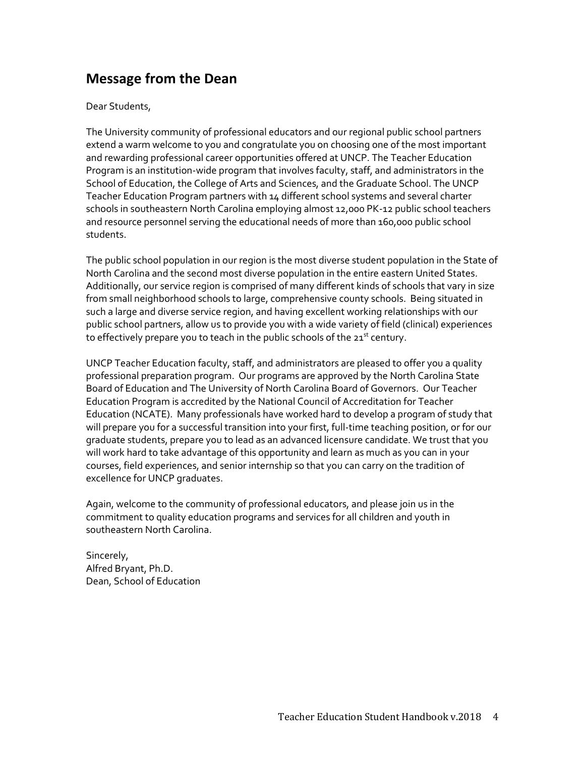## **Message from the Dean**

#### Dear Students,

The University community of professional educators and our regional public school partners extend a warm welcome to you and congratulate you on choosing one of the most important and rewarding professional career opportunities offered at UNCP. The Teacher Education Program is an institution-wide program that involves faculty, staff, and administrators in the School of Education, the College of Arts and Sciences, and the Graduate School. The UNCP Teacher Education Program partners with 14 different school systems and several charter schools in southeastern North Carolina employing almost 12,000 PK-12 public school teachers and resource personnel serving the educational needs of more than 160,000 public school students.

The public school population in our region is the most diverse student population in the State of North Carolina and the second most diverse population in the entire eastern United States. Additionally, our service region is comprised of many different kinds of schools that vary in size from small neighborhood schools to large, comprehensive county schools. Being situated in such a large and diverse service region, and having excellent working relationships with our public school partners, allow us to provide you with a wide variety of field (clinical) experiences to effectively prepare you to teach in the public schools of the 21<sup>st</sup> century.

UNCP Teacher Education faculty, staff, and administrators are pleased to offer you a quality professional preparation program. Our programs are approved by the North Carolina State Board of Education and The University of North Carolina Board of Governors. Our Teacher Education Program is accredited by the National Council of Accreditation for Teacher Education (NCATE). Many professionals have worked hard to develop a program of study that will prepare you for a successful transition into your first, full-time teaching position, or for our graduate students, prepare you to lead as an advanced licensure candidate. We trust that you will work hard to take advantage of this opportunity and learn as much as you can in your courses, field experiences, and senior internship so that you can carry on the tradition of excellence for UNCP graduates.

Again, welcome to the community of professional educators, and please join us in the commitment to quality education programs and services for all children and youth in southeastern North Carolina.

Sincerely, Alfred Bryant, Ph.D. Dean, School of Education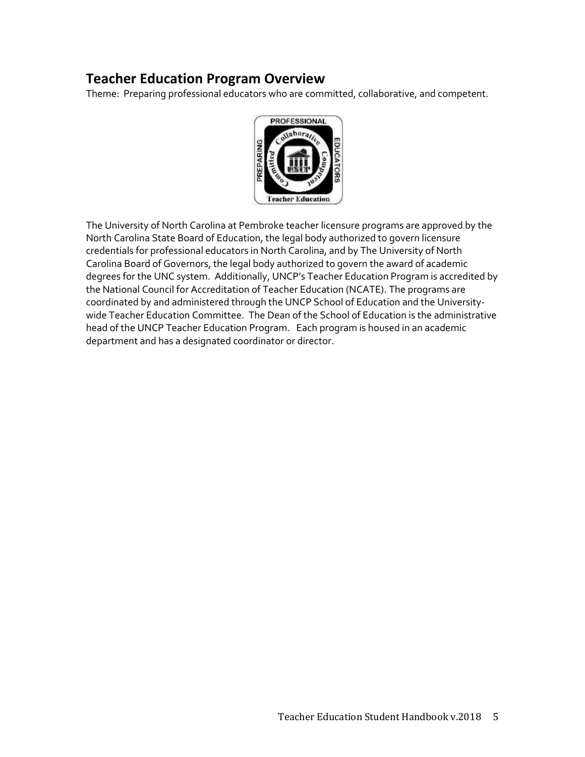### **Teacher Education Program Overview**

Theme: Preparing professional educators who are committed, collaborative, and competent.



The University of North Carolina at Pembroke teacher licensure programs are approved by the North Carolina State Board of Education, the legal body authorized to govern licensure credentials for professional educators in North Carolina, and by The University of North Carolina Board of Governors, the legal body authorized to govern the award of academic degrees for the UNC system. Additionally, UNCP's Teacher Education Program is accredited by the National Council for Accreditation of Teacher Education (NCATE). The programs are coordinated by and administered through the UNCP School of Education and the Universitywide Teacher Education Committee. The Dean of the School of Education is the administrative head of the UNCP Teacher Education Program. Each program is housed in an academic department and has a designated coordinator or director.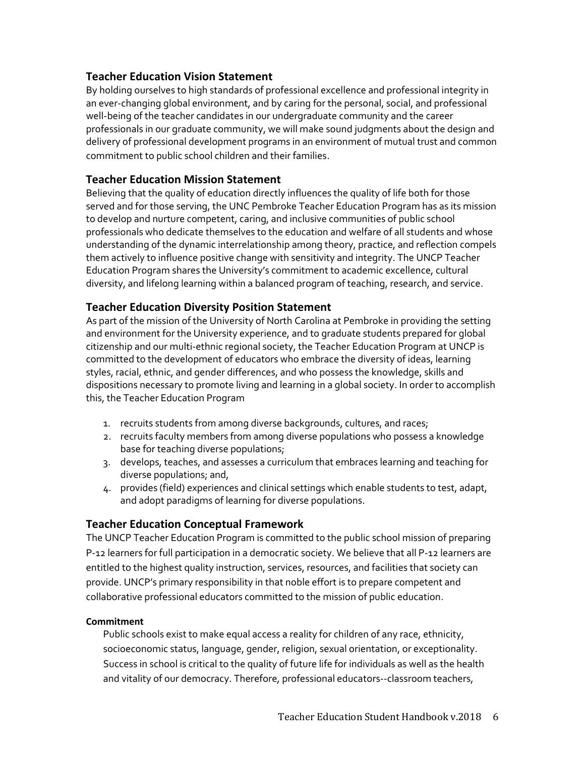#### **Teacher Education Vision Statement**

By holding ourselves to high standards of professional excellence and professional integrity in an ever-changing global environment, and by caring for the personal, social, and professional well-being of the teacher candidates in our undergraduate community and the career professionals in our graduate community, we will make sound judgments about the design and delivery of professional development programs in an environment of mutual trust and common commitment to public school children and their families.

#### **Teacher Education Mission Statement**

Believing that the quality of education directly influences the quality of life both for those served and for those serving, the UNC Pembroke Teacher Education Program has as its mission to develop and nurture competent, caring, and inclusive communities of public school professionals who dedicate themselves to the education and welfare of all students and whose understanding of the dynamic interrelationship among theory, practice, and reflection compels them actively to influence positive change with sensitivity and integrity. The UNCP Teacher Education Program shares the University's commitment to academic excellence, cultural diversity, and lifelong learning within a balanced program of teaching, research, and service.

#### **Teacher Education Diversity Position Statement**

As part of the mission of the University of North Carolina at Pembroke in providing the setting and environment for the University experience, and to graduate students prepared for global citizenship and our multi-ethnic regional society, the Teacher Education Program at UNCP is committed to the development of educators who embrace the diversity of ideas, learning styles, racial, ethnic, and gender differences, and who possess the knowledge, skills and dispositions necessary to promote living and learning in a global society. In order to accomplish this, the Teacher Education Program

- 1. recruits students from among diverse backgrounds, cultures, and races;
- 2. recruits faculty members from among diverse populations who possess a knowledge base for teaching diverse populations;
- 3. develops, teaches, and assesses a curriculum that embraces learning and teaching for diverse populations; and,
- 4. provides (field) experiences and clinical settings which enable students to test, adapt, and adopt paradigms of learning for diverse populations.

#### **Teacher Education Conceptual Framework**

The UNCP Teacher Education Program is committed to the public school mission of preparing P-12 learners for full participation in a democratic society. We believe that all P-12 learners are entitled to the highest quality instruction, services, resources, and facilities that society can provide. UNCP's primary responsibility in that noble effort is to prepare competent and collaborative professional educators committed to the mission of public education.

#### **Commitment**

Public schools exist to make equal access a reality for children of any race, ethnicity, socioeconomic status, language, gender, religion, sexual orientation, or exceptionality. Success in school is critical to the quality of future life for individuals as well as the health and vitality of our democracy. Therefore, professional educators--classroom teachers,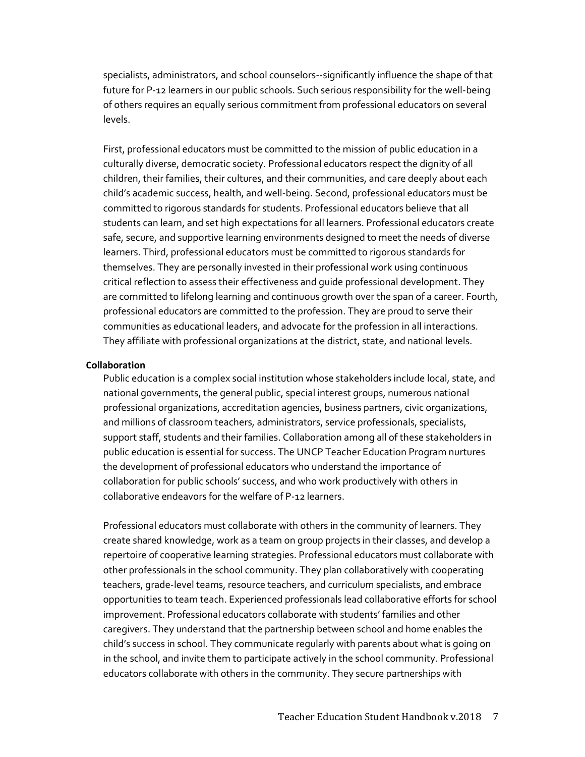specialists, administrators, and school counselors--significantly influence the shape of that future for P-12 learners in our public schools. Such serious responsibility for the well-being of others requires an equally serious commitment from professional educators on several levels.

First, professional educators must be committed to the mission of public education in a culturally diverse, democratic society. Professional educators respect the dignity of all children, their families, their cultures, and their communities, and care deeply about each child's academic success, health, and well-being. Second, professional educators must be committed to rigorous standards for students. Professional educators believe that all students can learn, and set high expectations for all learners. Professional educators create safe, secure, and supportive learning environments designed to meet the needs of diverse learners. Third, professional educators must be committed to rigorous standards for themselves. They are personally invested in their professional work using continuous critical reflection to assess their effectiveness and guide professional development. They are committed to lifelong learning and continuous growth over the span of a career. Fourth, professional educators are committed to the profession. They are proud to serve their communities as educational leaders, and advocate for the profession in all interactions. They affiliate with professional organizations at the district, state, and national levels.

#### **Collaboration**

Public education is a complex social institution whose stakeholders include local, state, and national governments, the general public, special interest groups, numerous national professional organizations, accreditation agencies, business partners, civic organizations, and millions of classroom teachers, administrators, service professionals, specialists, support staff, students and their families. Collaboration among all of these stakeholders in public education is essential for success. The UNCP Teacher Education Program nurtures the development of professional educators who understand the importance of collaboration for public schools' success, and who work productively with others in collaborative endeavors for the welfare of P-12 learners.

Professional educators must collaborate with others in the community of learners. They create shared knowledge, work as a team on group projects in their classes, and develop a repertoire of cooperative learning strategies. Professional educators must collaborate with other professionals in the school community. They plan collaboratively with cooperating teachers, grade-level teams, resource teachers, and curriculum specialists, and embrace opportunities to team teach. Experienced professionals lead collaborative efforts for school improvement. Professional educators collaborate with students' families and other caregivers. They understand that the partnership between school and home enables the child's success in school. They communicate regularly with parents about what is going on in the school, and invite them to participate actively in the school community. Professional educators collaborate with others in the community. They secure partnerships with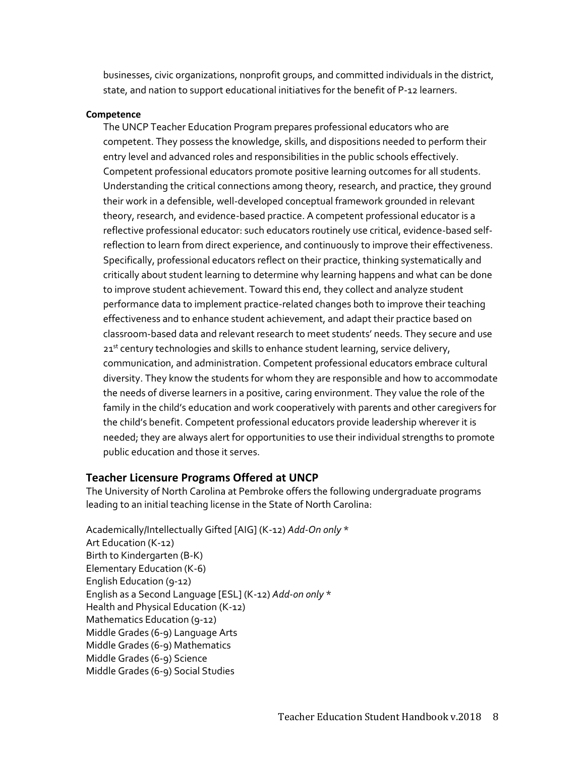businesses, civic organizations, nonprofit groups, and committed individuals in the district, state, and nation to support educational initiatives for the benefit of P-12 learners.

#### **Competence**

The UNCP Teacher Education Program prepares professional educators who are competent. They possess the knowledge, skills, and dispositions needed to perform their entry level and advanced roles and responsibilities in the public schools effectively. Competent professional educators promote positive learning outcomes for all students. Understanding the critical connections among theory, research, and practice, they ground their work in a defensible, well-developed conceptual framework grounded in relevant theory, research, and evidence-based practice. A competent professional educator is a reflective professional educator: such educators routinely use critical, evidence-based selfreflection to learn from direct experience, and continuously to improve their effectiveness. Specifically, professional educators reflect on their practice, thinking systematically and critically about student learning to determine why learning happens and what can be done to improve student achievement. Toward this end, they collect and analyze student performance data to implement practice-related changes both to improve their teaching effectiveness and to enhance student achievement, and adapt their practice based on classroom-based data and relevant research to meet students' needs. They secure and use 21<sup>st</sup> century technologies and skills to enhance student learning, service delivery, communication, and administration. Competent professional educators embrace cultural diversity. They know the students for whom they are responsible and how to accommodate the needs of diverse learners in a positive, caring environment. They value the role of the family in the child's education and work cooperatively with parents and other caregivers for the child's benefit. Competent professional educators provide leadership wherever it is needed; they are always alert for opportunities to use their individual strengths to promote public education and those it serves.

#### **Teacher Licensure Programs Offered at UNCP**

The University of North Carolina at Pembroke offers the following undergraduate programs leading to an initial teaching license in the State of North Carolina:

Academically/Intellectually Gifted [AIG] (K-12) *Add-On only* \* Art Education (K-12) Birth to Kindergarten (B-K) Elementary Education (K-6) English Education (9-12) English as a Second Language [ESL] (K-12) *Add-on only* \* Health and Physical Education (K-12) Mathematics Education (9-12) Middle Grades (6-9) Language Arts Middle Grades (6-9) Mathematics Middle Grades (6-9) Science Middle Grades (6-9) Social Studies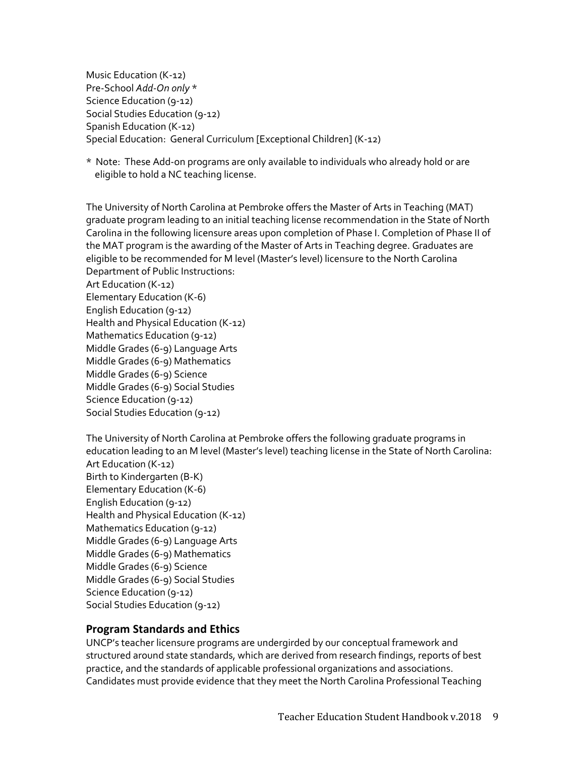Music Education (K-12) Pre-School *Add-On only* \* Science Education (9-12) Social Studies Education (9-12) Spanish Education (K-12) Special Education: General Curriculum [Exceptional Children] (K-12)

\* Note: These Add-on programs are only available to individuals who already hold or are eligible to hold a NC teaching license.

The University of North Carolina at Pembroke offers the Master of Arts in Teaching (MAT) graduate program leading to an initial teaching license recommendation in the State of North Carolina in the following licensure areas upon completion of Phase I. Completion of Phase II of the MAT program is the awarding of the Master of Arts in Teaching degree. Graduates are eligible to be recommended for M level (Master's level) licensure to the North Carolina Department of Public Instructions: Art Education (K-12) Elementary Education (K-6) English Education (9-12) Health and Physical Education (K-12) Mathematics Education (9-12) Middle Grades (6-9) Language Arts Middle Grades (6-9) Mathematics Middle Grades (6-9) Science

Middle Grades (6-9) Social Studies Science Education (9-12)

Social Studies Education (9-12)

The University of North Carolina at Pembroke offers the following graduate programs in education leading to an M level (Master's level) teaching license in the State of North Carolina: Art Education (K-12) Birth to Kindergarten (B-K) Elementary Education (K-6) English Education (9-12) Health and Physical Education (K-12) Mathematics Education (9-12) Middle Grades (6-9) Language Arts Middle Grades (6-9) Mathematics Middle Grades (6-9) Science Middle Grades (6-9) Social Studies Science Education (9-12) Social Studies Education (9-12)

#### **Program Standards and Ethics**

UNCP's teacher licensure programs are undergirded by our conceptual framework and structured around state standards, which are derived from research findings, reports of best practice, and the standards of applicable professional organizations and associations. Candidates must provide evidence that they meet the North Carolina Professional Teaching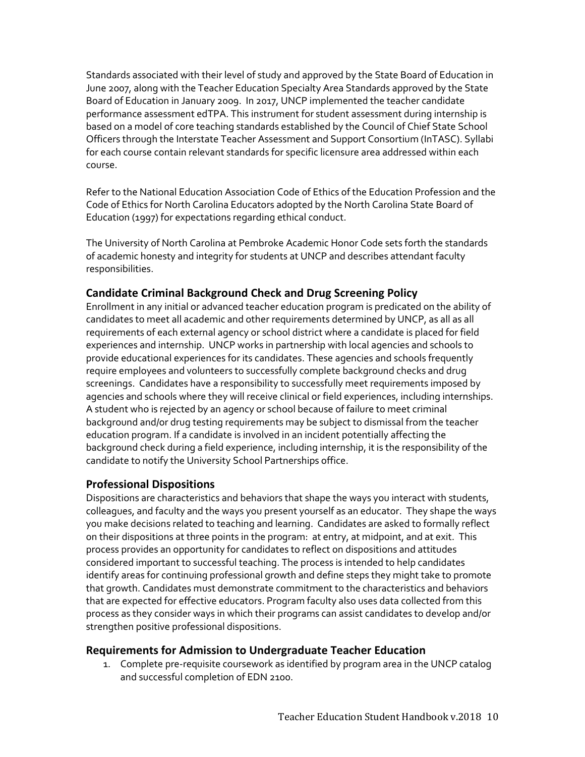Standards associated with their level of study and approved by the State Board of Education in June 2007, along with the Teacher Education Specialty Area Standards approved by the State Board of Education in January 2009. In 2017, UNCP implemented the teacher candidate performance assessment edTPA. This instrument for student assessment during internship is based on a model of core teaching standards established by the Council of Chief State School Officers through the Interstate Teacher Assessment and Support Consortium (InTASC). Syllabi for each course contain relevant standards for specific licensure area addressed within each course.

Refer to the National Education Association Code of Ethics of the Education Profession and the Code of Ethics for North Carolina Educators adopted by the North Carolina State Board of Education (1997) for expectations regarding ethical conduct.

The University of North Carolina at Pembroke Academic Honor Code sets forth the standards of academic honesty and integrity for students at UNCP and describes attendant faculty responsibilities.

#### **Candidate Criminal Background Check and Drug Screening Policy**

Enrollment in any initial or advanced teacher education program is predicated on the ability of candidates to meet all academic and other requirements determined by UNCP, as all as all requirements of each external agency or school district where a candidate is placed for field experiences and internship. UNCP works in partnership with local agencies and schools to provide educational experiences for its candidates. These agencies and schools frequently require employees and volunteers to successfully complete background checks and drug screenings. Candidates have a responsibility to successfully meet requirements imposed by agencies and schools where they will receive clinical or field experiences, including internships. A student who is rejected by an agency or school because of failure to meet criminal background and/or drug testing requirements may be subject to dismissal from the teacher education program. If a candidate is involved in an incident potentially affecting the background check during a field experience, including internship, it is the responsibility of the candidate to notify the University School Partnerships office.

#### **Professional Dispositions**

Dispositions are characteristics and behaviors that shape the ways you interact with students, colleagues, and faculty and the ways you present yourself as an educator. They shape the ways you make decisions related to teaching and learning. Candidates are asked to formally reflect on their dispositions at three points in the program: at entry, at midpoint, and at exit. This process provides an opportunity for candidates to reflect on dispositions and attitudes considered important to successful teaching. The process is intended to help candidates identify areas for continuing professional growth and define steps they might take to promote that growth. Candidates must demonstrate commitment to the characteristics and behaviors that are expected for effective educators. Program faculty also uses data collected from this process as they consider ways in which their programs can assist candidates to develop and/or strengthen positive professional dispositions.

#### **Requirements for Admission to Undergraduate Teacher Education**

1. Complete pre-requisite coursework as identified by program area in the UNCP catalog and successful completion of EDN 2100.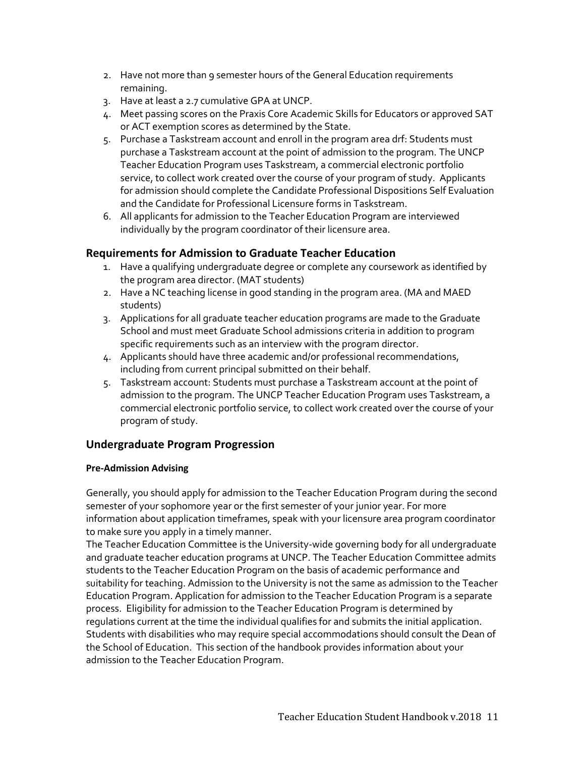- 2. Have not more than 9 semester hours of the General Education requirements remaining.
- 3. Have at least a 2.7 cumulative GPA at UNCP.
- 4. Meet passing scores on the Praxis Core Academic Skills for Educators or approved SAT or ACT exemption scores as determined by the State.
- 5. Purchase a Taskstream account and enroll in the program area drf: Students must purchase a Taskstream account at the point of admission to the program. The UNCP Teacher Education Program uses Taskstream, a commercial electronic portfolio service, to collect work created over the course of your program of study. Applicants for admission should complete the Candidate Professional Dispositions Self Evaluation and the Candidate for Professional Licensure forms in Taskstream.
- 6. All applicants for admission to the Teacher Education Program are interviewed individually by the program coordinator of their licensure area.

#### **Requirements for Admission to Graduate Teacher Education**

- 1. Have a qualifying undergraduate degree or complete any coursework as identified by the program area director. (MAT students)
- 2. Have a NC teaching license in good standing in the program area. (MA and MAED students)
- 3. Applications for all graduate teacher education programs are made to the Graduate School and must meet Graduate School admissions criteria in addition to program specific requirements such as an interview with the program director.
- 4. Applicants should have three academic and/or professional recommendations, including from current principal submitted on their behalf.
- 5. Taskstream account: Students must purchase a Taskstream account at the point of admission to the program. The UNCP Teacher Education Program uses Taskstream, a commercial electronic portfolio service, to collect work created over the course of your program of study.

#### **Undergraduate Program Progression**

#### **Pre-Admission Advising**

Generally, you should apply for admission to the Teacher Education Program during the second semester of your sophomore year or the first semester of your junior year. For more information about application timeframes, speak with your licensure area program coordinator to make sure you apply in a timely manner.

The Teacher Education Committee is the University-wide governing body for all undergraduate and graduate teacher education programs at UNCP. The Teacher Education Committee admits students to the Teacher Education Program on the basis of academic performance and suitability for teaching. Admission to the University is not the same as admission to the Teacher Education Program. Application for admission to the Teacher Education Program is a separate process.Eligibility for admission to the Teacher Education Program is determined by regulations current at the time the individual qualifies for and submits the initial application. Students with disabilities who may require special accommodations should consult the Dean of the School of Education. This section of the handbook provides information about your admission to the Teacher Education Program.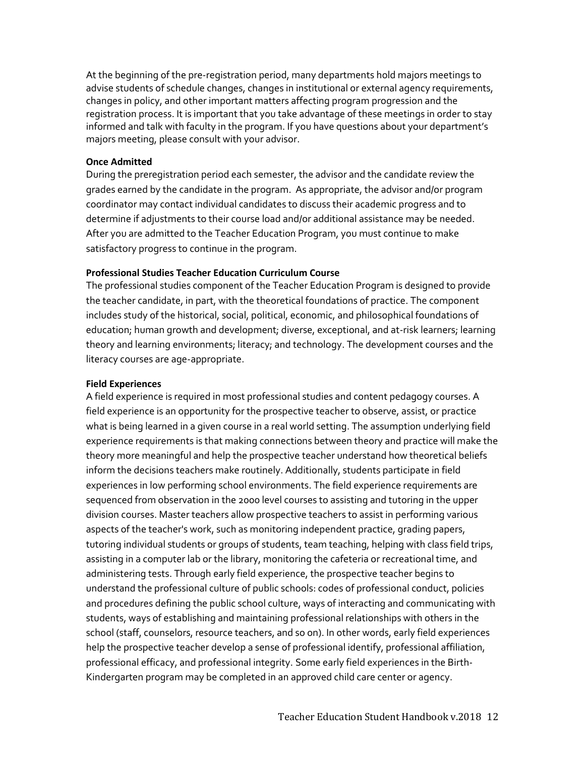At the beginning of the pre-registration period, many departments hold majors meetings to advise students of schedule changes, changes in institutional or external agency requirements, changes in policy, and other important matters affecting program progression and the registration process. It is important that you take advantage of these meetings in order to stay informed and talk with faculty in the program. If you have questions about your department's majors meeting, please consult with your advisor.

#### **Once Admitted**

During the preregistration period each semester, the advisor and the candidate review the grades earned by the candidate in the program. As appropriate, the advisor and/or program coordinator may contact individual candidates to discuss their academic progress and to determine if adjustments to their course load and/or additional assistance may be needed. After you are admitted to the Teacher Education Program, you must continue to make satisfactory progress to continue in the program.

#### **Professional Studies Teacher Education Curriculum Course**

The professional studies component of the Teacher Education Program is designed to provide the teacher candidate, in part, with the theoretical foundations of practice. The component includes study of the historical, social, political, economic, and philosophical foundations of education; human growth and development; diverse, exceptional, and at-risk learners; learning theory and learning environments; literacy; and technology. The development courses and the literacy courses are age-appropriate.

#### **Field Experiences**

A field experience is required in most professional studies and content pedagogy courses. A field experience is an opportunity for the prospective teacher to observe, assist, or practice what is being learned in a given course in a real world setting. The assumption underlying field experience requirements is that making connections between theory and practice will make the theory more meaningful and help the prospective teacher understand how theoretical beliefs inform the decisions teachers make routinely. Additionally, students participate in field experiences in low performing school environments. The field experience requirements are sequenced from observation in the 2000 level courses to assisting and tutoring in the upper division courses. Master teachers allow prospective teachers to assist in performing various aspects of the teacher's work, such as monitoring independent practice, grading papers, tutoring individual students or groups of students, team teaching, helping with class field trips, assisting in a computer lab or the library, monitoring the cafeteria or recreational time, and administering tests. Through early field experience, the prospective teacher begins to understand the professional culture of public schools: codes of professional conduct, policies and procedures defining the public school culture, ways of interacting and communicating with students, ways of establishing and maintaining professional relationships with others in the school (staff, counselors, resource teachers, and so on). In other words, early field experiences help the prospective teacher develop a sense of professional identify, professional affiliation, professional efficacy, and professional integrity. Some early field experiences in the Birth-Kindergarten program may be completed in an approved child care center or agency.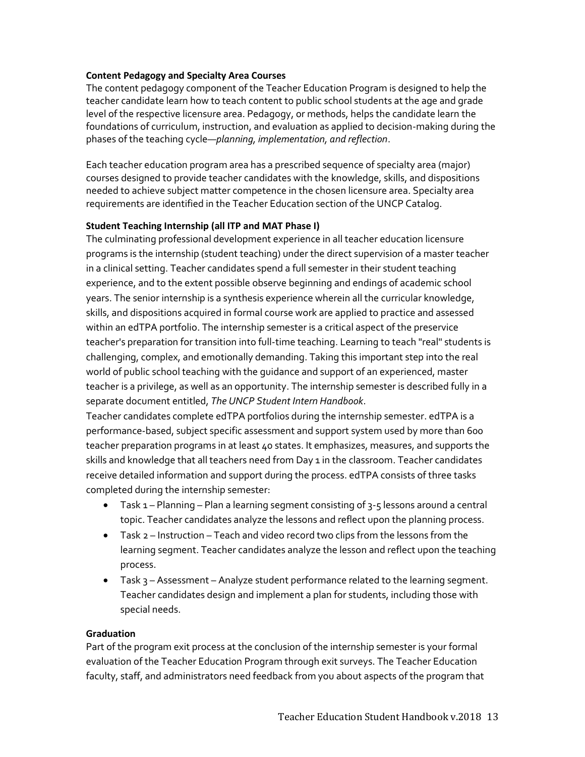#### **Content Pedagogy and Specialty Area Courses**

The content pedagogy component of the Teacher Education Program is designed to help the teacher candidate learn how to teach content to public school students at the age and grade level of the respective licensure area. Pedagogy, or methods, helps the candidate learn the foundations of curriculum, instruction, and evaluation as applied to decision-making during the phases of the teaching cycle—*planning, implementation, and reflection*.

Each teacher education program area has a prescribed sequence of specialty area (major) courses designed to provide teacher candidates with the knowledge, skills, and dispositions needed to achieve subject matter competence in the chosen licensure area. Specialty area requirements are identified in the Teacher Education section of the UNCP Catalog.

#### **Student Teaching Internship (all ITP and MAT Phase I)**

The culminating professional development experience in all teacher education licensure programs is the internship (student teaching) under the direct supervision of a master teacher in a clinical setting. Teacher candidates spend a full semester in their student teaching experience, and to the extent possible observe beginning and endings of academic school years. The senior internship is a synthesis experience wherein all the curricular knowledge, skills, and dispositions acquired in formal course work are applied to practice and assessed within an edTPA portfolio. The internship semester is a critical aspect of the preservice teacher's preparation for transition into full-time teaching. Learning to teach "real" students is challenging, complex, and emotionally demanding. Taking this important step into the real world of public school teaching with the guidance and support of an experienced, master teacher is a privilege, as well as an opportunity. The internship semester is described fully in a separate document entitled, *The UNCP Student Intern Handbook*.

Teacher candidates complete edTPA portfolios during the internship semester. edTPA is a performance-based, subject specific assessment and support system used by more than 600 teacher preparation programs in at least 40 states. It emphasizes, measures, and supports the skills and knowledge that all teachers need from Day 1 in the classroom. Teacher candidates receive detailed information and support during the process. edTPA consists of three tasks completed during the internship semester:

- $\bullet$  Task 1 Planning Plan a learning segment consisting of 3-5 lessons around a central topic. Teacher candidates analyze the lessons and reflect upon the planning process.
- Task 2 Instruction Teach and video record two clips from the lessons from the learning segment. Teacher candidates analyze the lesson and reflect upon the teaching process.
- Task 3 Assessment Analyze student performance related to the learning segment. Teacher candidates design and implement a plan for students, including those with special needs.

#### **Graduation**

Part of the program exit process at the conclusion of the internship semester is your formal evaluation of the Teacher Education Program through exit surveys. The Teacher Education faculty, staff, and administrators need feedback from you about aspects of the program that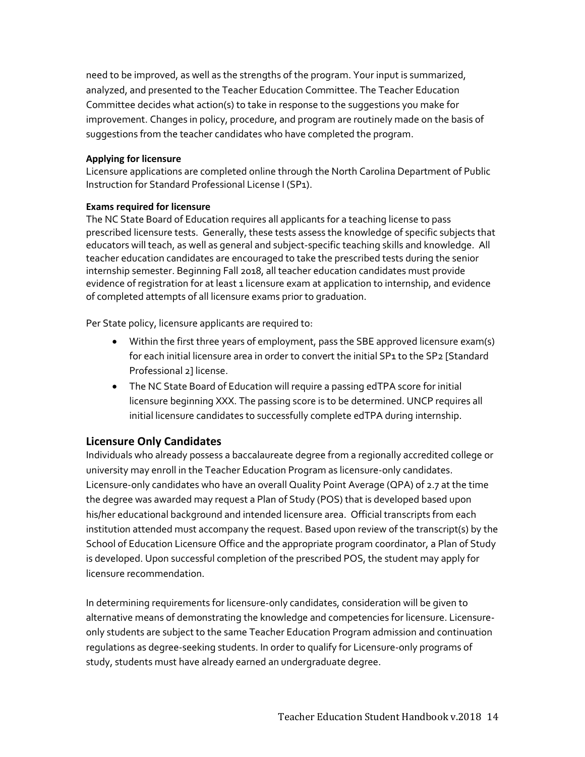need to be improved, as well as the strengths of the program. Your input is summarized, analyzed, and presented to the Teacher Education Committee. The Teacher Education Committee decides what action(s) to take in response to the suggestions you make for improvement. Changes in policy, procedure, and program are routinely made on the basis of suggestions from the teacher candidates who have completed the program.

#### **Applying for licensure**

Licensure applications are completed online through the North Carolina Department of Public Instruction for Standard Professional License I (SP1).

#### **Exams required for licensure**

The NC State Board of Education requires all applicants for a teaching license to pass prescribed licensure tests. Generally, these tests assess the knowledge of specific subjects that educators will teach, as well as general and subject-specific teaching skills and knowledge. All teacher education candidates are encouraged to take the prescribed tests during the senior internship semester. Beginning Fall 2018, all teacher education candidates must provide evidence of registration for at least 1 licensure exam at application to internship, and evidence of completed attempts of all licensure exams prior to graduation.

Per State policy, licensure applicants are required to:

- Within the first three years of employment, pass the SBE approved licensure exam(s) for each initial licensure area in order to convert the initial SP1 to the SP2 [Standard Professional 2] license.
- The NC State Board of Education will require a passing edTPA score for initial licensure beginning XXX. The passing score is to be determined. UNCP requires all initial licensure candidates to successfully complete edTPA during internship.

#### **Licensure Only Candidates**

Individuals who already possess a baccalaureate degree from a regionally accredited college or university may enroll in the Teacher Education Program as licensure-only candidates. Licensure-only candidates who have an overall Quality Point Average (QPA) of 2.7 at the time the degree was awarded may request a Plan of Study (POS) that is developed based upon his/her educational background and intended licensure area. Official transcripts from each institution attended must accompany the request. Based upon review of the transcript(s) by the School of Education Licensure Office and the appropriate program coordinator, a Plan of Study is developed. Upon successful completion of the prescribed POS, the student may apply for licensure recommendation.

In determining requirements for licensure-only candidates, consideration will be given to alternative means of demonstrating the knowledge and competencies for licensure. Licensureonly students are subject to the same Teacher Education Program admission and continuation regulations as degree-seeking students. In order to qualify for Licensure-only programs of study, students must have already earned an undergraduate degree.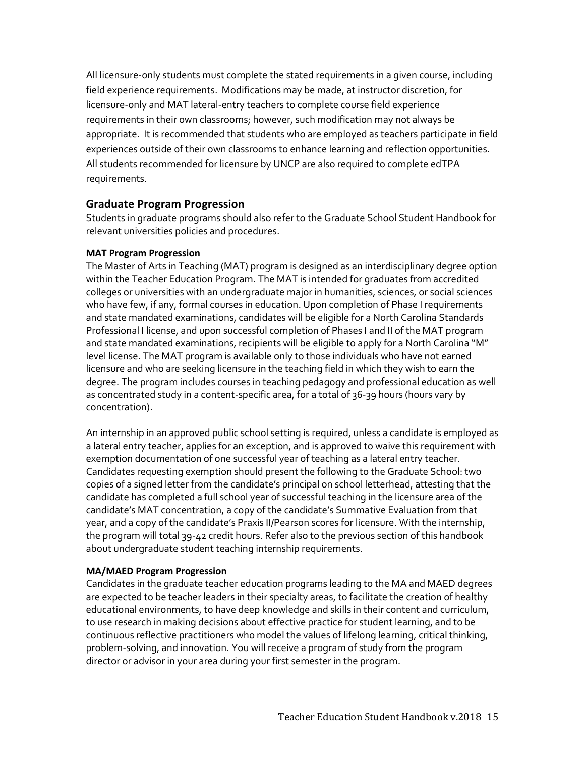All licensure-only students must complete the stated requirements in a given course, including field experience requirements. Modifications may be made, at instructor discretion, for licensure-only and MAT lateral-entry teachers to complete course field experience requirements in their own classrooms; however, such modification may not always be appropriate. It is recommended that students who are employed as teachers participate in field experiences outside of their own classrooms to enhance learning and reflection opportunities. All students recommended for licensure by UNCP are also required to complete edTPA requirements.

#### **Graduate Program Progression**

Students in graduate programs should also refer to the Graduate School Student Handbook for relevant universities policies and procedures.

#### **MAT Program Progression**

The Master of Arts in Teaching (MAT) program is designed as an interdisciplinary degree option within the Teacher Education Program. The MAT is intended for graduates from accredited colleges or universities with an undergraduate major in humanities, sciences, or social sciences who have few, if any, formal courses in education. Upon completion of Phase I requirements and state mandated examinations, candidates will be eligible for a North Carolina Standards Professional I license, and upon successful completion of Phases I and II of the MAT program and state mandated examinations, recipients will be eligible to apply for a North Carolina "M" level license. The MAT program is available only to those individuals who have not earned licensure and who are seeking licensure in the teaching field in which they wish to earn the degree. The program includes courses in teaching pedagogy and professional education as well as concentrated study in a content-specific area, for a total of 36-39 hours (hours vary by concentration).

An internship in an approved public school setting is required, unless a candidate is employed as a lateral entry teacher, applies for an exception, and is approved to waive this requirement with exemption documentation of one successful year of teaching as a lateral entry teacher. Candidates requesting exemption should present the following to the Graduate School: two copies of a signed letter from the candidate's principal on school letterhead, attesting that the candidate has completed a full school year of successful teaching in the licensure area of the candidate's MAT concentration, a copy of the candidate's Summative Evaluation from that year, and a copy of the candidate's Praxis II/Pearson scores for licensure. With the internship, the program will total 39-42 credit hours. Refer also to the previous section of this handbook about undergraduate student teaching internship requirements.

#### **MA/MAED Program Progression**

Candidates in the graduate teacher education programs leading to the MA and MAED degrees are expected to be teacher leaders in their specialty areas, to facilitate the creation of healthy educational environments, to have deep knowledge and skills in their content and curriculum, to use research in making decisions about effective practice for student learning, and to be continuous reflective practitioners who model the values of lifelong learning, critical thinking, problem-solving, and innovation. You will receive a program of study from the program director or advisor in your area during your first semester in the program.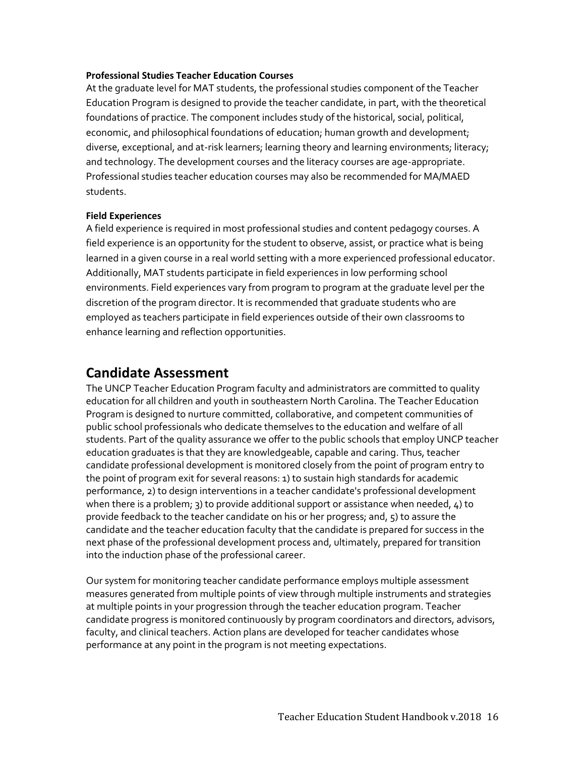#### **Professional Studies Teacher Education Courses**

At the graduate level for MAT students, the professional studies component of the Teacher Education Program is designed to provide the teacher candidate, in part, with the theoretical foundations of practice. The component includes study of the historical, social, political, economic, and philosophical foundations of education; human growth and development; diverse, exceptional, and at-risk learners; learning theory and learning environments; literacy; and technology. The development courses and the literacy courses are age-appropriate. Professional studies teacher education courses may also be recommended for MA/MAED students.

#### **Field Experiences**

A field experience is required in most professional studies and content pedagogy courses. A field experience is an opportunity for the student to observe, assist, or practice what is being learned in a given course in a real world setting with a more experienced professional educator. Additionally, MAT students participate in field experiences in low performing school environments. Field experiences vary from program to program at the graduate level per the discretion of the program director. It is recommended that graduate students who are employed as teachers participate in field experiences outside of their own classrooms to enhance learning and reflection opportunities.

#### **Candidate Assessment**

The UNCP Teacher Education Program faculty and administrators are committed to quality education for all children and youth in southeastern North Carolina. The Teacher Education Program is designed to nurture committed, collaborative, and competent communities of public school professionals who dedicate themselves to the education and welfare of all students. Part of the quality assurance we offer to the public schools that employ UNCP teacher education graduates is that they are knowledgeable, capable and caring. Thus, teacher candidate professional development is monitored closely from the point of program entry to the point of program exit for several reasons: 1) to sustain high standards for academic performance, 2) to design interventions in a teacher candidate's professional development when there is a problem; 3) to provide additional support or assistance when needed,  $4$ ) to provide feedback to the teacher candidate on his or her progress; and, 5) to assure the candidate and the teacher education faculty that the candidate is prepared for success in the next phase of the professional development process and, ultimately, prepared for transition into the induction phase of the professional career.

Our system for monitoring teacher candidate performance employs multiple assessment measures generated from multiple points of view through multiple instruments and strategies at multiple points in your progression through the teacher education program. Teacher candidate progress is monitored continuously by program coordinators and directors, advisors, faculty, and clinical teachers. Action plans are developed for teacher candidates whose performance at any point in the program is not meeting expectations.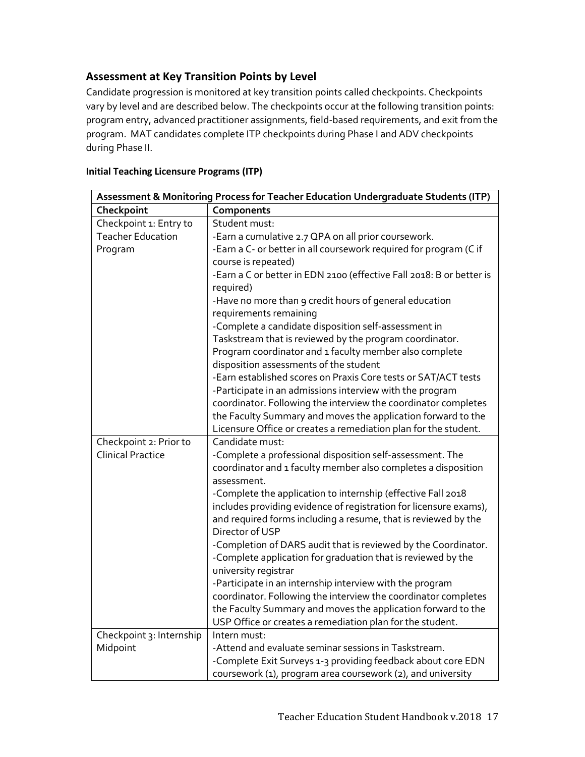#### **Assessment at Key Transition Points by Level**

Candidate progression is monitored at key transition points called checkpoints. Checkpoints vary by level and are described below. The checkpoints occur at the following transition points: program entry, advanced practitioner assignments, field-based requirements, and exit from the program. MAT candidates complete ITP checkpoints during Phase I and ADV checkpoints during Phase II.

| Assessment & Monitoring Process for Teacher Education Undergraduate Students (ITP) |                                                                      |  |
|------------------------------------------------------------------------------------|----------------------------------------------------------------------|--|
| Checkpoint                                                                         | Components                                                           |  |
| Checkpoint 1: Entry to                                                             | Student must:                                                        |  |
| <b>Teacher Education</b>                                                           | -Earn a cumulative 2.7 QPA on all prior coursework.                  |  |
| Program                                                                            | -Earn a C- or better in all coursework required for program (C if    |  |
|                                                                                    | course is repeated)                                                  |  |
|                                                                                    | -Earn a C or better in EDN 2100 (effective Fall 2018: B or better is |  |
|                                                                                    | required)                                                            |  |
|                                                                                    | -Have no more than 9 credit hours of general education               |  |
|                                                                                    | requirements remaining                                               |  |
|                                                                                    | -Complete a candidate disposition self-assessment in                 |  |
|                                                                                    | Taskstream that is reviewed by the program coordinator.              |  |
|                                                                                    | Program coordinator and 1 faculty member also complete               |  |
|                                                                                    | disposition assessments of the student                               |  |
|                                                                                    | -Earn established scores on Praxis Core tests or SAT/ACT tests       |  |
|                                                                                    | -Participate in an admissions interview with the program             |  |
|                                                                                    | coordinator. Following the interview the coordinator completes       |  |
|                                                                                    | the Faculty Summary and moves the application forward to the         |  |
|                                                                                    | Licensure Office or creates a remediation plan for the student.      |  |
| Checkpoint 2: Prior to                                                             | Candidate must:                                                      |  |
| <b>Clinical Practice</b>                                                           | -Complete a professional disposition self-assessment. The            |  |
|                                                                                    | coordinator and 1 faculty member also completes a disposition        |  |
|                                                                                    | assessment.                                                          |  |
|                                                                                    | -Complete the application to internship (effective Fall 2018         |  |
|                                                                                    | includes providing evidence of registration for licensure exams),    |  |
|                                                                                    | and required forms including a resume, that is reviewed by the       |  |
|                                                                                    | Director of USP                                                      |  |
|                                                                                    | -Completion of DARS audit that is reviewed by the Coordinator.       |  |
|                                                                                    | -Complete application for graduation that is reviewed by the         |  |
|                                                                                    | university registrar                                                 |  |
|                                                                                    | -Participate in an internship interview with the program             |  |
|                                                                                    | coordinator. Following the interview the coordinator completes       |  |
|                                                                                    | the Faculty Summary and moves the application forward to the         |  |
|                                                                                    | USP Office or creates a remediation plan for the student.            |  |
| Checkpoint 3: Internship                                                           | Intern must:                                                         |  |
| Midpoint                                                                           | -Attend and evaluate seminar sessions in Taskstream.                 |  |
|                                                                                    | -Complete Exit Surveys 1-3 providing feedback about core EDN         |  |
|                                                                                    | coursework (1), program area coursework (2), and university          |  |

#### **Initial Teaching Licensure Programs (ITP)**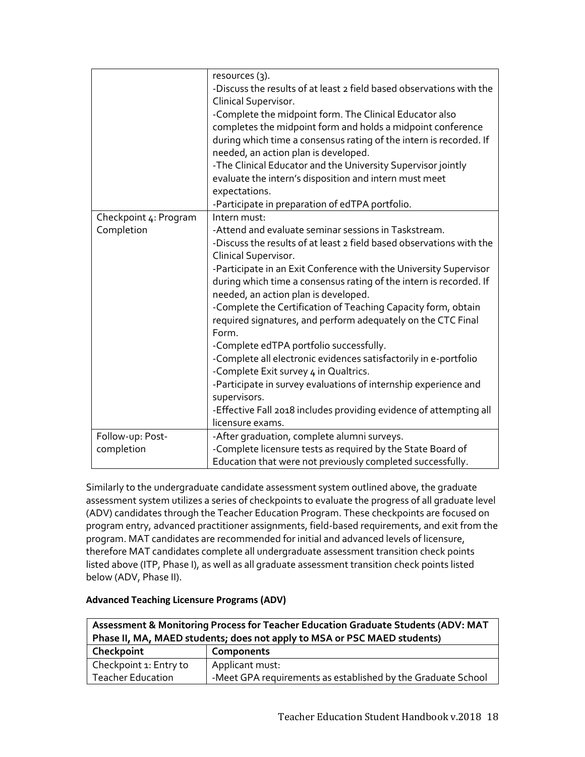|                                     | resources (3).<br>-Discuss the results of at least 2 field based observations with the<br>Clinical Supervisor.<br>-Complete the midpoint form. The Clinical Educator also<br>completes the midpoint form and holds a midpoint conference<br>during which time a consensus rating of the intern is recorded. If<br>needed, an action plan is developed.<br>-The Clinical Educator and the University Supervisor jointly<br>evaluate the intern's disposition and intern must meet<br>expectations.<br>-Participate in preparation of edTPA portfolio.                                                                                                                                                                                                                                                                                   |
|-------------------------------------|----------------------------------------------------------------------------------------------------------------------------------------------------------------------------------------------------------------------------------------------------------------------------------------------------------------------------------------------------------------------------------------------------------------------------------------------------------------------------------------------------------------------------------------------------------------------------------------------------------------------------------------------------------------------------------------------------------------------------------------------------------------------------------------------------------------------------------------|
| Checkpoint 4: Program<br>Completion | Intern must:<br>-Attend and evaluate seminar sessions in Taskstream.<br>-Discuss the results of at least 2 field based observations with the<br>Clinical Supervisor.<br>-Participate in an Exit Conference with the University Supervisor<br>during which time a consensus rating of the intern is recorded. If<br>needed, an action plan is developed.<br>-Complete the Certification of Teaching Capacity form, obtain<br>required signatures, and perform adequately on the CTC Final<br>Form.<br>-Complete edTPA portfolio successfully.<br>-Complete all electronic evidences satisfactorily in e-portfolio<br>-Complete Exit survey 4 in Qualtrics.<br>-Participate in survey evaluations of internship experience and<br>supervisors.<br>-Effective Fall 2018 includes providing evidence of attempting all<br>licensure exams. |
| Follow-up: Post-                    | -After graduation, complete alumni surveys.                                                                                                                                                                                                                                                                                                                                                                                                                                                                                                                                                                                                                                                                                                                                                                                            |
| completion                          | -Complete licensure tests as required by the State Board of<br>Education that were not previously completed successfully.                                                                                                                                                                                                                                                                                                                                                                                                                                                                                                                                                                                                                                                                                                              |

Similarly to the undergraduate candidate assessment system outlined above, the graduate assessment system utilizes a series of checkpoints to evaluate the progress of all graduate level (ADV) candidates through the Teacher Education Program. These checkpoints are focused on program entry, advanced practitioner assignments, field-based requirements, and exit from the program. MAT candidates are recommended for initial and advanced levels of licensure, therefore MAT candidates complete all undergraduate assessment transition check points listed above (ITP, Phase I), as well as all graduate assessment transition check points listed below (ADV, Phase II).

#### **Advanced Teaching Licensure Programs (ADV)**

| Assessment & Monitoring Process for Teacher Education Graduate Students (ADV: MAT |                                                              |  |
|-----------------------------------------------------------------------------------|--------------------------------------------------------------|--|
| Phase II, MA, MAED students; does not apply to MSA or PSC MAED students)          |                                                              |  |
| Checkpoint                                                                        | Components                                                   |  |
| Checkpoint 1: Entry to                                                            | Applicant must:                                              |  |
| <b>Teacher Education</b>                                                          | -Meet GPA requirements as established by the Graduate School |  |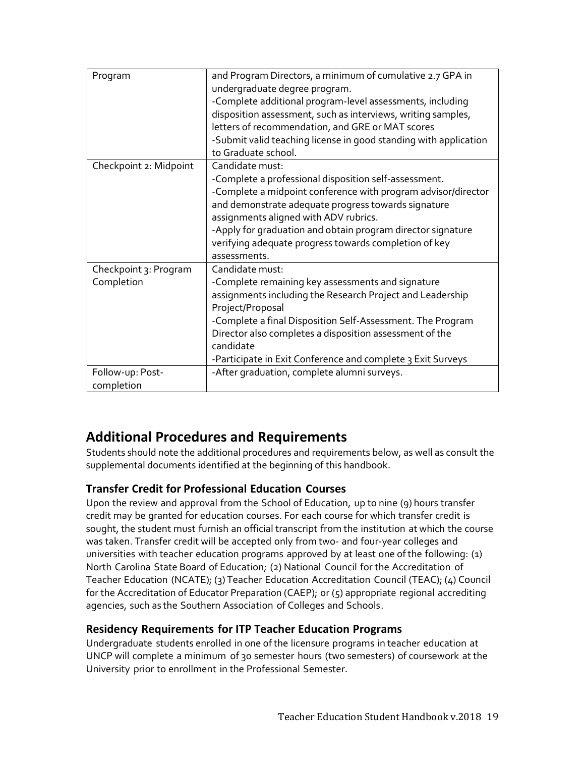| Program                             | and Program Directors, a minimum of cumulative 2.7 GPA in<br>undergraduate degree program.<br>-Complete additional program-level assessments, including<br>disposition assessment, such as interviews, writing samples,<br>letters of recommendation, and GRE or MAT scores<br>-Submit valid teaching license in good standing with application<br>to Graduate school.            |
|-------------------------------------|-----------------------------------------------------------------------------------------------------------------------------------------------------------------------------------------------------------------------------------------------------------------------------------------------------------------------------------------------------------------------------------|
| Checkpoint 2: Midpoint              | Candidate must:<br>-Complete a professional disposition self-assessment.<br>-Complete a midpoint conference with program advisor/director<br>and demonstrate adequate progress towards signature<br>assignments aligned with ADV rubrics.<br>-Apply for graduation and obtain program director signature<br>verifying adequate progress towards completion of key<br>assessments. |
| Checkpoint 3: Program<br>Completion | Candidate must:<br>-Complete remaining key assessments and signature<br>assignments including the Research Project and Leadership<br>Project/Proposal<br>-Complete a final Disposition Self-Assessment. The Program<br>Director also completes a disposition assessment of the<br>candidate<br>-Participate in Exit Conference and complete 3 Exit Surveys                        |
| Follow-up: Post-<br>completion      | -After graduation, complete alumni surveys.                                                                                                                                                                                                                                                                                                                                       |

## **Additional Procedures and Requirements**

Students should note the additional procedures and requirements below, as well as consult the supplemental documents identified at the beginning of this handbook.

#### **Transfer Credit for Professional Education Courses**

Upon the review and approval from the School of Education, up to nine (9) hours transfer credit may be granted for education courses. For each course for which transfer credit is sought, the student must furnish an official transcript from the institution at which the course was taken. Transfer credit will be accepted only from two- and four-year colleges and universities with teacher education programs approved by at least one ofthe following: (1) North Carolina State Board of Education; (2) National Council for the Accreditation of Teacher Education (NCATE); (3) Teacher Education Accreditation Council (TEAC); (4) Council for the Accreditation of Educator Preparation (CAEP); or (5) appropriate regional accrediting agencies, such as the Southern Association of Colleges and Schools.

#### **Residency Requirements for ITP Teacher Education Programs**

Undergraduate students enrolled in one ofthe licensure programs in teacher education at UNCP will complete a minimum of 30 semester hours (two semesters) of coursework at the University prior to enrollment in the Professional Semester.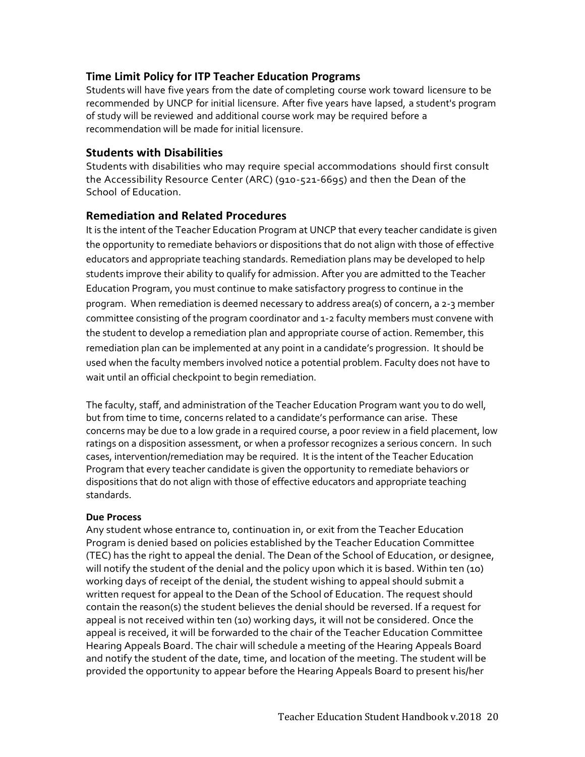#### **Time Limit Policy for ITP Teacher Education Programs**

Students will have five years from the date of completing course work toward licensure to be recommended by UNCP for initial licensure. After five years have lapsed, a student's program of study will be reviewed and additional course work may be required before a recommendation will be made for initial licensure.

#### **Students with Disabilities**

Students with disabilities who may require special accommodations should first consult the Accessibility Resource Center (ARC) (910-521-6695) and then the Dean of the School of Education.

#### **Remediation and Related Procedures**

It is the intent of the Teacher Education Program at UNCP that every teacher candidate is given the opportunity to remediate behaviors or dispositions that do not align with those of effective educators and appropriate teaching standards. Remediation plans may be developed to help students improve their ability to qualify for admission. After you are admitted to the Teacher Education Program, you must continue to make satisfactory progress to continue in the program. When remediation is deemed necessary to address area(s) of concern, a 2-3 member committee consisting of the program coordinator and 1-2 faculty members must convene with the student to develop a remediation plan and appropriate course of action. Remember, this remediation plan can be implemented at any point in a candidate's progression. It should be used when the faculty members involved notice a potential problem. Faculty does not have to wait until an official checkpoint to begin remediation.

The faculty, staff, and administration of the Teacher Education Program want you to do well, but from time to time, concerns related to a candidate's performance can arise. These concerns may be due to a low grade in a required course, a poor review in a field placement, low ratings on a disposition assessment, or when a professor recognizes a serious concern. In such cases, intervention/remediation may be required. It is the intent of the Teacher Education Program that every teacher candidate is given the opportunity to remediate behaviors or dispositions that do not align with those of effective educators and appropriate teaching standards.

#### **Due Process**

Any student whose entrance to, continuation in, or exit from the Teacher Education Program is denied based on policies established by the Teacher Education Committee (TEC) has the right to appeal the denial. The Dean of the School of Education, or designee, will notify the student of the denial and the policy upon which it is based. Within ten (10) working days of receipt of the denial, the student wishing to appeal should submit a written request for appeal to the Dean of the School of Education. The request should contain the reason(s) the student believes the denial should be reversed. If a request for appeal is not received within ten (10) working days, it will not be considered. Once the appeal is received, it will be forwarded to the chair of the Teacher Education Committee Hearing Appeals Board. The chair will schedule a meeting of the Hearing Appeals Board and notify the student of the date, time, and location of the meeting. The student will be provided the opportunity to appear before the Hearing Appeals Board to present his/her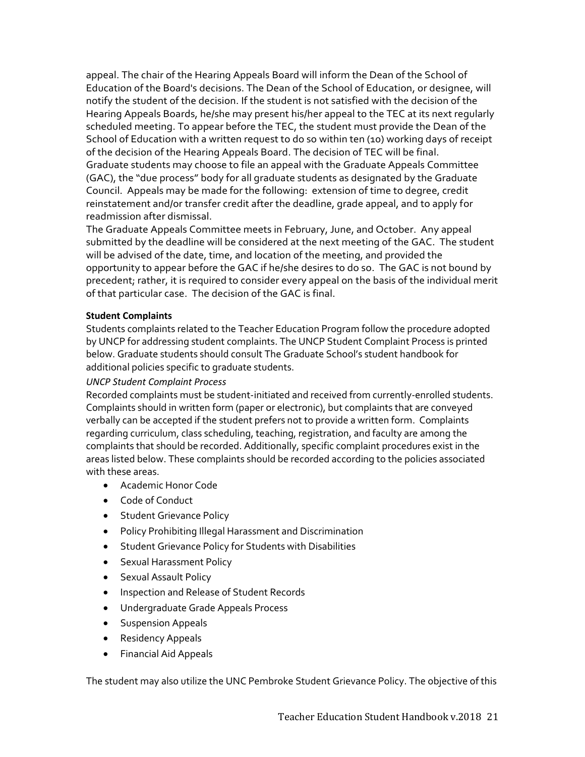appeal. The chair of the Hearing Appeals Board will inform the Dean of the School of Education of the Board's decisions. The Dean of the School of Education, or designee, will notify the student of the decision. If the student is not satisfied with the decision of the Hearing Appeals Boards, he/she may present his/her appeal to the TEC at its next regularly scheduled meeting. To appear before the TEC, the student must provide the Dean of the School of Education with a written request to do so within ten (10) working days of receipt of the decision of the Hearing Appeals Board. The decision of TEC will be final. Graduate students may choose to file an appeal with the Graduate Appeals Committee (GAC), the "due process" body for all graduate students as designated by the Graduate Council. Appeals may be made for the following: extension of time to degree, credit reinstatement and/or transfer credit after the deadline, grade appeal, and to apply for readmission after dismissal.

The Graduate Appeals Committee meets in February, June, and October. Any appeal submitted by the deadline will be considered at the next meeting of the GAC. The student will be advised of the date, time, and location of the meeting, and provided the opportunity to appear before the GAC if he/she desires to do so. The GAC is not bound by precedent; rather, it is required to consider every appeal on the basis of the individual merit of that particular case. The decision of the GAC is final.

#### **Student Complaints**

Students complaints related to the Teacher Education Program follow the procedure adopted by UNCP for addressing student complaints. The UNCP Student Complaint Process is printed below. Graduate students should consult The Graduate School's student handbook for additional policies specific to graduate students.

#### *UNCP Student Complaint Process*

Recorded complaints must be student-initiated and received from currently-enrolled students. Complaints should in written form (paper or electronic), but complaints that are conveyed verbally can be accepted if the student prefers not to provide a written form. Complaints regarding curriculum, class scheduling, teaching, registration, and faculty are among the complaints that should be recorded. Additionally, specific complaint procedures exist in the areas listed below. These complaints should be recorded according to the policies associated with these areas.

- Academic Honor Code
- Code of Conduct
- **•** Student Grievance Policy
- Policy Prohibiting Illegal Harassment and Discrimination
- **•** Student Grievance Policy for Students with Disabilities
- **•** Sexual Harassment Policy
- **•** Sexual Assault Policy
- **Inspection and Release of Student Records**
- Undergraduate Grade Appeals Process
- **•** Suspension Appeals
- Residency Appeals
- Financial Aid Appeals

The student may also utilize the UNC Pembroke Student Grievance Policy. The objective of this